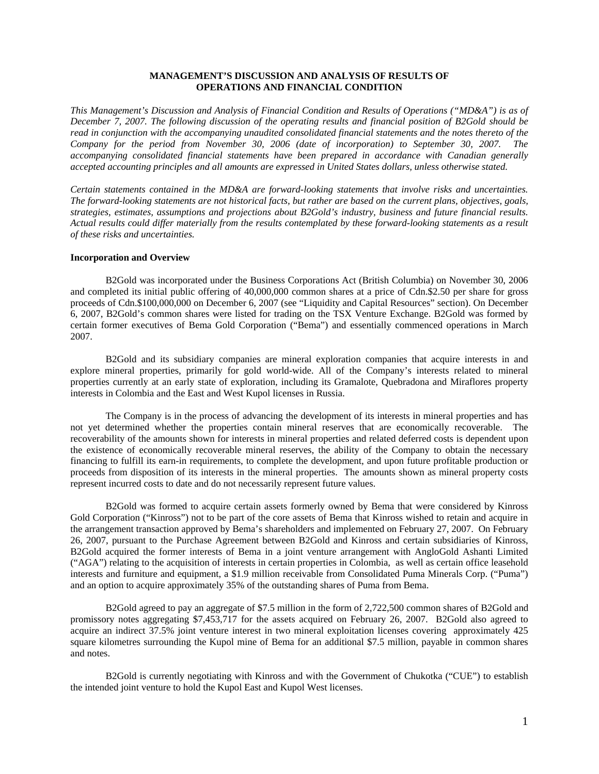# **MANAGEMENT'S DISCUSSION AND ANALYSIS OF RESULTS OF OPERATIONS AND FINANCIAL CONDITION**

*This Management's Discussion and Analysis of Financial Condition and Results of Operations ("MD&A") is as of December 7, 2007. The following discussion of the operating results and financial position of B2Gold should be read in conjunction with the accompanying unaudited consolidated financial statements and the notes thereto of the Company for the period from November 30, 2006 (date of incorporation) to September 30, 2007. The accompanying consolidated financial statements have been prepared in accordance with Canadian generally accepted accounting principles and all amounts are expressed in United States dollars, unless otherwise stated.* 

*Certain statements contained in the MD&A are forward-looking statements that involve risks and uncertainties. The forward-looking statements are not historical facts, but rather are based on the current plans, objectives, goals, strategies, estimates, assumptions and projections about B2Gold's industry, business and future financial results. Actual results could differ materially from the results contemplated by these forward-looking statements as a result of these risks and uncertainties.* 

### **Incorporation and Overview**

B2Gold was incorporated under the Business Corporations Act (British Columbia) on November 30, 2006 and completed its initial public offering of 40,000,000 common shares at a price of Cdn.\$2.50 per share for gross proceeds of Cdn.\$100,000,000 on December 6, 2007 (see "Liquidity and Capital Resources" section). On December 6, 2007, B2Gold's common shares were listed for trading on the TSX Venture Exchange. B2Gold was formed by certain former executives of Bema Gold Corporation ("Bema") and essentially commenced operations in March 2007.

B2Gold and its subsidiary companies are mineral exploration companies that acquire interests in and explore mineral properties, primarily for gold world-wide. All of the Company's interests related to mineral properties currently at an early state of exploration, including its Gramalote, Quebradona and Miraflores property interests in Colombia and the East and West Kupol licenses in Russia.

The Company is in the process of advancing the development of its interests in mineral properties and has not yet determined whether the properties contain mineral reserves that are economically recoverable. The recoverability of the amounts shown for interests in mineral properties and related deferred costs is dependent upon the existence of economically recoverable mineral reserves, the ability of the Company to obtain the necessary financing to fulfill its earn-in requirements, to complete the development, and upon future profitable production or proceeds from disposition of its interests in the mineral properties. The amounts shown as mineral property costs represent incurred costs to date and do not necessarily represent future values.

B2Gold was formed to acquire certain assets formerly owned by Bema that were considered by Kinross Gold Corporation ("Kinross") not to be part of the core assets of Bema that Kinross wished to retain and acquire in the arrangement transaction approved by Bema's shareholders and implemented on February 27, 2007. On February 26, 2007, pursuant to the Purchase Agreement between B2Gold and Kinross and certain subsidiaries of Kinross, B2Gold acquired the former interests of Bema in a joint venture arrangement with AngloGold Ashanti Limited ("AGA") relating to the acquisition of interests in certain properties in Colombia, as well as certain office leasehold interests and furniture and equipment, a \$1.9 million receivable from Consolidated Puma Minerals Corp. ("Puma") and an option to acquire approximately 35% of the outstanding shares of Puma from Bema.

B2Gold agreed to pay an aggregate of \$7.5 million in the form of 2,722,500 common shares of B2Gold and promissory notes aggregating \$7,453,717 for the assets acquired on February 26, 2007. B2Gold also agreed to acquire an indirect 37.5% joint venture interest in two mineral exploitation licenses covering approximately 425 square kilometres surrounding the Kupol mine of Bema for an additional \$7.5 million, payable in common shares and notes.

B2Gold is currently negotiating with Kinross and with the Government of Chukotka ("CUE") to establish the intended joint venture to hold the Kupol East and Kupol West licenses.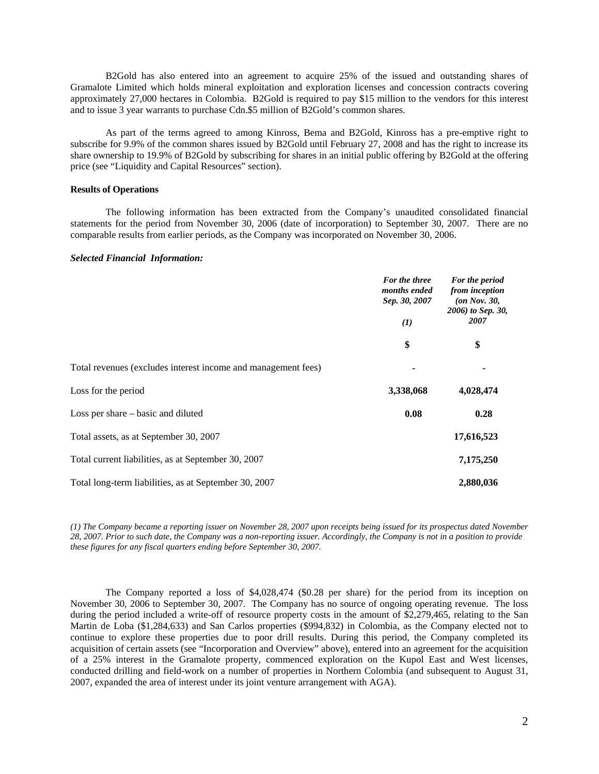B2Gold has also entered into an agreement to acquire 25% of the issued and outstanding shares of Gramalote Limited which holds mineral exploitation and exploration licenses and concession contracts covering approximately 27,000 hectares in Colombia. B2Gold is required to pay \$15 million to the vendors for this interest and to issue 3 year warrants to purchase Cdn.\$5 million of B2Gold's common shares.

As part of the terms agreed to among Kinross, Bema and B2Gold, Kinross has a pre-emptive right to subscribe for 9.9% of the common shares issued by B2Gold until February 27, 2008 and has the right to increase its share ownership to 19.9% of B2Gold by subscribing for shares in an initial public offering by B2Gold at the offering price (see "Liquidity and Capital Resources" section).

### **Results of Operations**

The following information has been extracted from the Company's unaudited consolidated financial statements for the period from November 30, 2006 (date of incorporation) to September 30, 2007. There are no comparable results from earlier periods, as the Company was incorporated on November 30, 2006.

### *Selected Financial Information:*

|                                                               | For the three<br>months ended<br>Sep. 30, 2007<br>$\bf(1)$<br>\$ | For the period<br>from inception<br>$($ on Nov. 30,<br>2006) to Sep. 30,<br>2007<br>\$ |
|---------------------------------------------------------------|------------------------------------------------------------------|----------------------------------------------------------------------------------------|
|                                                               |                                                                  |                                                                                        |
|                                                               |                                                                  |                                                                                        |
| Total revenues (excludes interest income and management fees) | ٠                                                                | ٠                                                                                      |
| Loss for the period                                           | 3,338,068                                                        | 4,028,474                                                                              |
| Loss per share – basic and diluted                            | 0.08                                                             | 0.28                                                                                   |
| Total assets, as at September 30, 2007                        |                                                                  | 17,616,523                                                                             |
| Total current liabilities, as at September 30, 2007           |                                                                  | 7,175,250                                                                              |
| Total long-term liabilities, as at September 30, 2007         |                                                                  | 2,880,036                                                                              |

*(1) The Company became a reporting issuer on November 28, 2007 upon receipts being issued for its prospectus dated November 28, 2007. Prior to such date, the Company was a non-reporting issuer. Accordingly, the Company is not in a position to provide these figures for any fiscal quarters ending before September 30, 2007.* 

The Company reported a loss of \$4,028,474 (\$0.28 per share) for the period from its inception on November 30, 2006 to September 30, 2007. The Company has no source of ongoing operating revenue. The loss during the period included a write-off of resource property costs in the amount of \$2,279,465, relating to the San Martin de Loba (\$1,284,633) and San Carlos properties (\$994,832) in Colombia, as the Company elected not to continue to explore these properties due to poor drill results. During this period, the Company completed its acquisition of certain assets (see "Incorporation and Overview" above), entered into an agreement for the acquisition of a 25% interest in the Gramalote property, commenced exploration on the Kupol East and West licenses, conducted drilling and field-work on a number of properties in Northern Colombia (and subsequent to August 31, 2007, expanded the area of interest under its joint venture arrangement with AGA).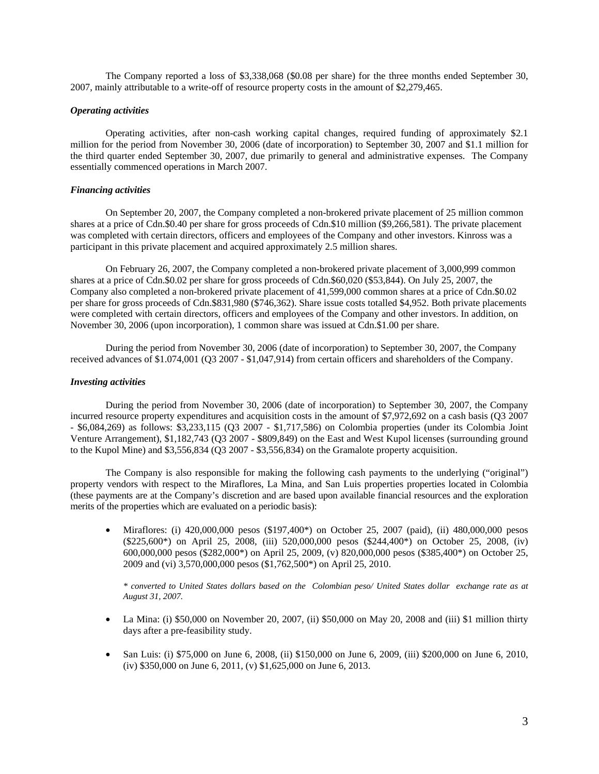The Company reported a loss of \$3,338,068 (\$0.08 per share) for the three months ended September 30, 2007, mainly attributable to a write-off of resource property costs in the amount of \$2,279,465.

### *Operating activities*

Operating activities, after non-cash working capital changes, required funding of approximately \$2.1 million for the period from November 30, 2006 (date of incorporation) to September 30, 2007 and \$1.1 million for the third quarter ended September 30, 2007, due primarily to general and administrative expenses. The Company essentially commenced operations in March 2007.

## *Financing activities*

On September 20, 2007, the Company completed a non-brokered private placement of 25 million common shares at a price of Cdn.\$0.40 per share for gross proceeds of Cdn.\$10 million (\$9,266,581). The private placement was completed with certain directors, officers and employees of the Company and other investors. Kinross was a participant in this private placement and acquired approximately 2.5 million shares.

On February 26, 2007, the Company completed a non-brokered private placement of 3,000,999 common shares at a price of Cdn.\$0.02 per share for gross proceeds of Cdn.\$60,020 (\$53,844). On July 25, 2007, the Company also completed a non-brokered private placement of 41,599,000 common shares at a price of Cdn.\$0.02 per share for gross proceeds of Cdn.\$831,980 (\$746,362). Share issue costs totalled \$4,952. Both private placements were completed with certain directors, officers and employees of the Company and other investors. In addition, on November 30, 2006 (upon incorporation), 1 common share was issued at Cdn.\$1.00 per share.

During the period from November 30, 2006 (date of incorporation) to September 30, 2007, the Company received advances of \$1.074,001 (Q3 2007 - \$1,047,914) from certain officers and shareholders of the Company.

### *Investing activities*

During the period from November 30, 2006 (date of incorporation) to September 30, 2007, the Company incurred resource property expenditures and acquisition costs in the amount of \$7,972,692 on a cash basis (Q3 2007 - \$6,084,269) as follows: \$3,233,115 (Q3 2007 - \$1,717,586) on Colombia properties (under its Colombia Joint Venture Arrangement), \$1,182,743 (Q3 2007 - \$809,849) on the East and West Kupol licenses (surrounding ground to the Kupol Mine) and \$3,556,834 (Q3 2007 - \$3,556,834) on the Gramalote property acquisition.

The Company is also responsible for making the following cash payments to the underlying ("original") property vendors with respect to the Miraflores, La Mina, and San Luis properties properties located in Colombia (these payments are at the Company's discretion and are based upon available financial resources and the exploration merits of the properties which are evaluated on a periodic basis):

• Miraflores: (i) 420,000,000 pesos (\$197,400\*) on October 25, 2007 (paid), (ii) 480,000,000 pesos (\$225,600\*) on April 25, 2008, (iii) 520,000,000 pesos (\$244,400\*) on October 25, 2008, (iv) 600,000,000 pesos (\$282,000\*) on April 25, 2009, (v) 820,000,000 pesos (\$385,400\*) on October 25, 2009 and (vi) 3,570,000,000 pesos (\$1,762,500\*) on April 25, 2010.

*\* converted to United States dollars based on the Colombian peso/ United States dollar exchange rate as at August 31, 2007.* 

- La Mina: (i) \$50,000 on November 20, 2007, (ii) \$50,000 on May 20, 2008 and (iii) \$1 million thirty days after a pre-feasibility study.
- San Luis: (i) \$75,000 on June 6, 2008, (ii) \$150,000 on June 6, 2009, (iii) \$200,000 on June 6, 2010, (iv) \$350,000 on June 6, 2011, (v) \$1,625,000 on June 6, 2013.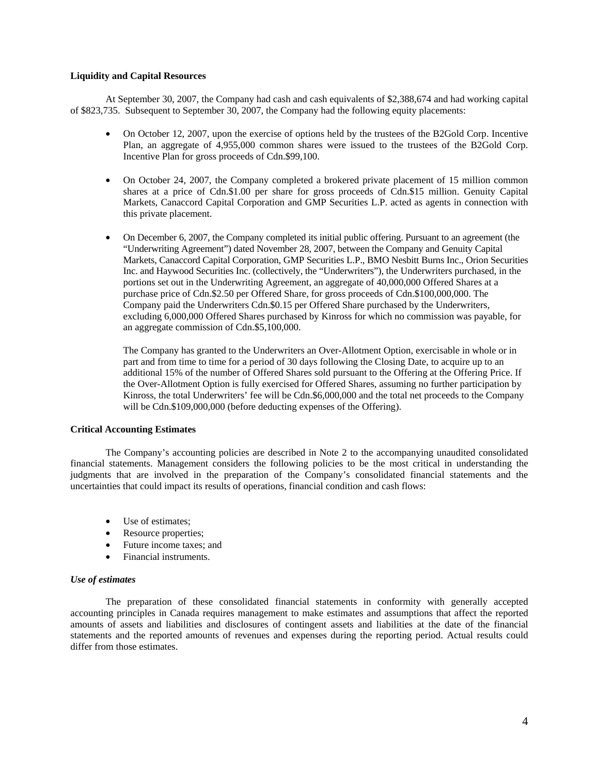## **Liquidity and Capital Resources**

At September 30, 2007, the Company had cash and cash equivalents of \$2,388,674 and had working capital of \$823,735. Subsequent to September 30, 2007, the Company had the following equity placements:

- On October 12, 2007, upon the exercise of options held by the trustees of the B2Gold Corp. Incentive Plan, an aggregate of 4,955,000 common shares were issued to the trustees of the B2Gold Corp. Incentive Plan for gross proceeds of Cdn.\$99,100.
- On October 24, 2007, the Company completed a brokered private placement of 15 million common shares at a price of Cdn.\$1.00 per share for gross proceeds of Cdn.\$15 million. Genuity Capital Markets, Canaccord Capital Corporation and GMP Securities L.P. acted as agents in connection with this private placement.
- On December 6, 2007, the Company completed its initial public offering. Pursuant to an agreement (the "Underwriting Agreement") dated November 28, 2007, between the Company and Genuity Capital Markets, Canaccord Capital Corporation, GMP Securities L.P., BMO Nesbitt Burns Inc., Orion Securities Inc. and Haywood Securities Inc. (collectively, the "Underwriters"), the Underwriters purchased, in the portions set out in the Underwriting Agreement, an aggregate of 40,000,000 Offered Shares at a purchase price of Cdn.\$2.50 per Offered Share, for gross proceeds of Cdn.\$100,000,000. The Company paid the Underwriters Cdn.\$0.15 per Offered Share purchased by the Underwriters, excluding 6,000,000 Offered Shares purchased by Kinross for which no commission was payable, for an aggregate commission of Cdn.\$5,100,000.

The Company has granted to the Underwriters an Over-Allotment Option, exercisable in whole or in part and from time to time for a period of 30 days following the Closing Date, to acquire up to an additional 15% of the number of Offered Shares sold pursuant to the Offering at the Offering Price. If the Over-Allotment Option is fully exercised for Offered Shares, assuming no further participation by Kinross, the total Underwriters' fee will be Cdn.\$6,000,000 and the total net proceeds to the Company will be Cdn.\$109,000,000 (before deducting expenses of the Offering).

# **Critical Accounting Estimates**

The Company's accounting policies are described in Note 2 to the accompanying unaudited consolidated financial statements. Management considers the following policies to be the most critical in understanding the judgments that are involved in the preparation of the Company's consolidated financial statements and the uncertainties that could impact its results of operations, financial condition and cash flows:

- Use of estimates;
- Resource properties;
- Future income taxes; and
- Financial instruments.

### *Use of estimates*

The preparation of these consolidated financial statements in conformity with generally accepted accounting principles in Canada requires management to make estimates and assumptions that affect the reported amounts of assets and liabilities and disclosures of contingent assets and liabilities at the date of the financial statements and the reported amounts of revenues and expenses during the reporting period. Actual results could differ from those estimates.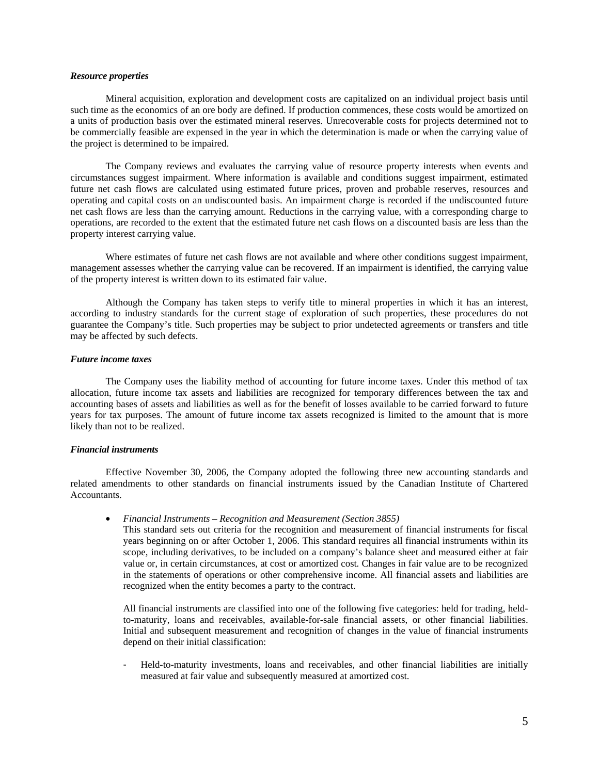#### *Resource properties*

Mineral acquisition, exploration and development costs are capitalized on an individual project basis until such time as the economics of an ore body are defined. If production commences, these costs would be amortized on a units of production basis over the estimated mineral reserves. Unrecoverable costs for projects determined not to be commercially feasible are expensed in the year in which the determination is made or when the carrying value of the project is determined to be impaired.

The Company reviews and evaluates the carrying value of resource property interests when events and circumstances suggest impairment. Where information is available and conditions suggest impairment, estimated future net cash flows are calculated using estimated future prices, proven and probable reserves, resources and operating and capital costs on an undiscounted basis. An impairment charge is recorded if the undiscounted future net cash flows are less than the carrying amount. Reductions in the carrying value, with a corresponding charge to operations, are recorded to the extent that the estimated future net cash flows on a discounted basis are less than the property interest carrying value.

Where estimates of future net cash flows are not available and where other conditions suggest impairment, management assesses whether the carrying value can be recovered. If an impairment is identified, the carrying value of the property interest is written down to its estimated fair value.

Although the Company has taken steps to verify title to mineral properties in which it has an interest, according to industry standards for the current stage of exploration of such properties, these procedures do not guarantee the Company's title. Such properties may be subject to prior undetected agreements or transfers and title may be affected by such defects.

#### *Future income taxes*

The Company uses the liability method of accounting for future income taxes. Under this method of tax allocation, future income tax assets and liabilities are recognized for temporary differences between the tax and accounting bases of assets and liabilities as well as for the benefit of losses available to be carried forward to future years for tax purposes. The amount of future income tax assets recognized is limited to the amount that is more likely than not to be realized.

#### *Financial instruments*

Effective November 30, 2006, the Company adopted the following three new accounting standards and related amendments to other standards on financial instruments issued by the Canadian Institute of Chartered Accountants.

• *Financial Instruments – Recognition and Measurement (Section 3855)* 

This standard sets out criteria for the recognition and measurement of financial instruments for fiscal years beginning on or after October 1, 2006. This standard requires all financial instruments within its scope, including derivatives, to be included on a company's balance sheet and measured either at fair value or, in certain circumstances, at cost or amortized cost. Changes in fair value are to be recognized in the statements of operations or other comprehensive income. All financial assets and liabilities are recognized when the entity becomes a party to the contract.

All financial instruments are classified into one of the following five categories: held for trading, heldto-maturity, loans and receivables, available-for-sale financial assets, or other financial liabilities. Initial and subsequent measurement and recognition of changes in the value of financial instruments depend on their initial classification:

- Held-to-maturity investments, loans and receivables, and other financial liabilities are initially measured at fair value and subsequently measured at amortized cost.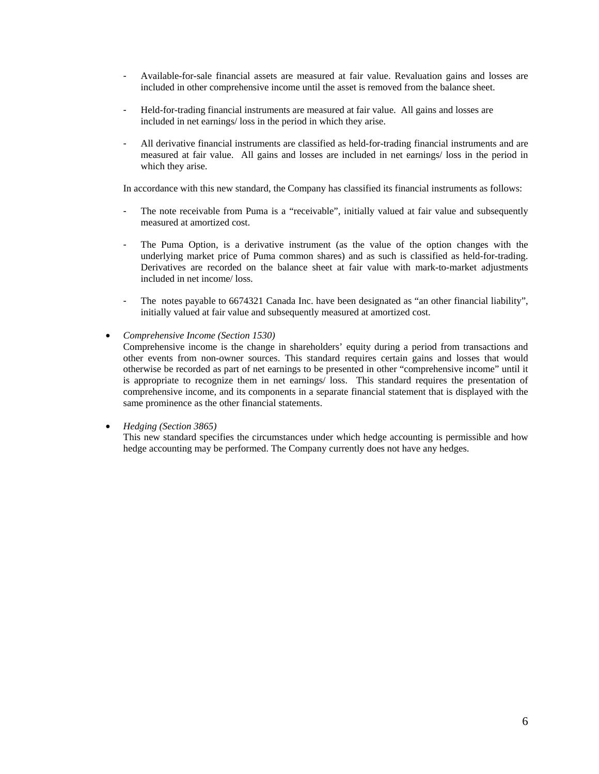- Available-for-sale financial assets are measured at fair value. Revaluation gains and losses are included in other comprehensive income until the asset is removed from the balance sheet.
- Held-for-trading financial instruments are measured at fair value. All gains and losses are included in net earnings/ loss in the period in which they arise.
- All derivative financial instruments are classified as held-for-trading financial instruments and are measured at fair value. All gains and losses are included in net earnings/ loss in the period in which they arise.

In accordance with this new standard, the Company has classified its financial instruments as follows:

- The note receivable from Puma is a "receivable", initially valued at fair value and subsequently measured at amortized cost.
- The Puma Option, is a derivative instrument (as the value of the option changes with the underlying market price of Puma common shares) and as such is classified as held-for-trading. Derivatives are recorded on the balance sheet at fair value with mark-to-market adjustments included in net income/ loss.
- The notes payable to 6674321 Canada Inc. have been designated as "an other financial liability", initially valued at fair value and subsequently measured at amortized cost.
- *Comprehensive Income (Section 1530)*

Comprehensive income is the change in shareholders' equity during a period from transactions and other events from non-owner sources. This standard requires certain gains and losses that would otherwise be recorded as part of net earnings to be presented in other "comprehensive income" until it is appropriate to recognize them in net earnings/ loss. This standard requires the presentation of comprehensive income, and its components in a separate financial statement that is displayed with the same prominence as the other financial statements.

• *Hedging (Section 3865)* 

This new standard specifies the circumstances under which hedge accounting is permissible and how hedge accounting may be performed. The Company currently does not have any hedges.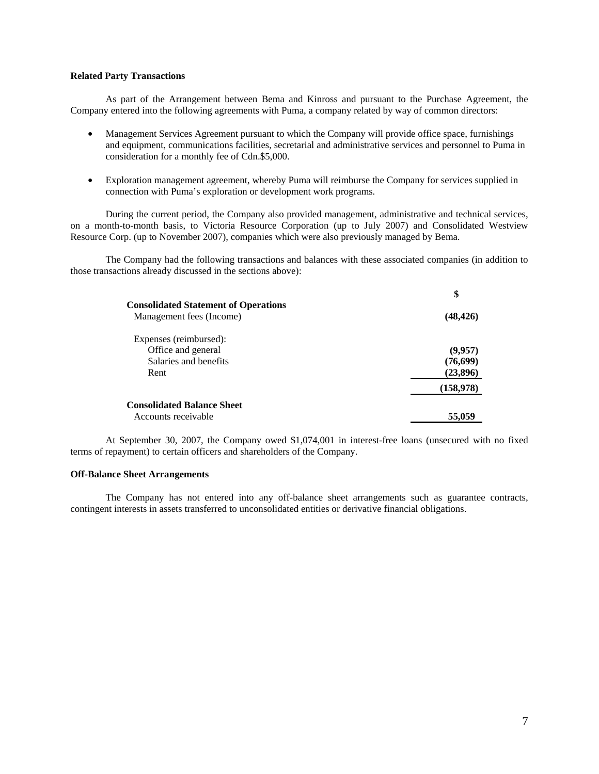### **Related Party Transactions**

As part of the Arrangement between Bema and Kinross and pursuant to the Purchase Agreement, the Company entered into the following agreements with Puma, a company related by way of common directors:

- Management Services Agreement pursuant to which the Company will provide office space, furnishings and equipment, communications facilities, secretarial and administrative services and personnel to Puma in consideration for a monthly fee of Cdn.\$5,000.
- Exploration management agreement, whereby Puma will reimburse the Company for services supplied in connection with Puma's exploration or development work programs.

During the current period, the Company also provided management, administrative and technical services, on a month-to-month basis, to Victoria Resource Corporation (up to July 2007) and Consolidated Westview Resource Corp. (up to November 2007), companies which were also previously managed by Bema.

The Company had the following transactions and balances with these associated companies (in addition to those transactions already discussed in the sections above):

|                                                                         | \$        |
|-------------------------------------------------------------------------|-----------|
| <b>Consolidated Statement of Operations</b><br>Management fees (Income) | (48, 426) |
| Expenses (reimbursed):                                                  |           |
| Office and general                                                      | (9,957)   |
| Salaries and benefits                                                   | (76, 699) |
| Rent                                                                    | (23,896)  |
|                                                                         | (158,978) |
| <b>Consolidated Balance Sheet</b>                                       |           |
| Accounts receivable                                                     | 55,059    |

At September 30, 2007, the Company owed \$1,074,001 in interest-free loans (unsecured with no fixed terms of repayment) to certain officers and shareholders of the Company.

#### **Off-Balance Sheet Arrangements**

The Company has not entered into any off-balance sheet arrangements such as guarantee contracts, contingent interests in assets transferred to unconsolidated entities or derivative financial obligations.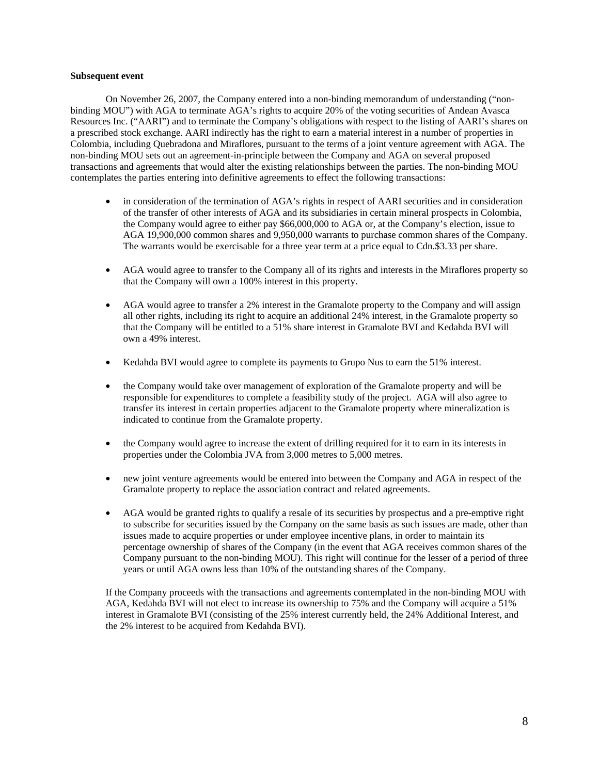### **Subsequent event**

On November 26, 2007, the Company entered into a non-binding memorandum of understanding ("nonbinding MOU") with AGA to terminate AGA's rights to acquire 20% of the voting securities of Andean Avasca Resources Inc. ("AARI") and to terminate the Company's obligations with respect to the listing of AARI's shares on a prescribed stock exchange. AARI indirectly has the right to earn a material interest in a number of properties in Colombia, including Quebradona and Miraflores, pursuant to the terms of a joint venture agreement with AGA. The non-binding MOU sets out an agreement-in-principle between the Company and AGA on several proposed transactions and agreements that would alter the existing relationships between the parties. The non-binding MOU contemplates the parties entering into definitive agreements to effect the following transactions:

- in consideration of the termination of AGA's rights in respect of AARI securities and in consideration of the transfer of other interests of AGA and its subsidiaries in certain mineral prospects in Colombia, the Company would agree to either pay \$66,000,000 to AGA or, at the Company's election, issue to AGA 19,900,000 common shares and 9,950,000 warrants to purchase common shares of the Company. The warrants would be exercisable for a three year term at a price equal to Cdn.\$3.33 per share.
- AGA would agree to transfer to the Company all of its rights and interests in the Miraflores property so that the Company will own a 100% interest in this property.
- AGA would agree to transfer a 2% interest in the Gramalote property to the Company and will assign all other rights, including its right to acquire an additional 24% interest, in the Gramalote property so that the Company will be entitled to a 51% share interest in Gramalote BVI and Kedahda BVI will own a 49% interest.
- Kedahda BVI would agree to complete its payments to Grupo Nus to earn the 51% interest.
- the Company would take over management of exploration of the Gramalote property and will be responsible for expenditures to complete a feasibility study of the project. AGA will also agree to transfer its interest in certain properties adjacent to the Gramalote property where mineralization is indicated to continue from the Gramalote property.
- the Company would agree to increase the extent of drilling required for it to earn in its interests in properties under the Colombia JVA from 3,000 metres to 5,000 metres.
- new joint venture agreements would be entered into between the Company and AGA in respect of the Gramalote property to replace the association contract and related agreements.
- AGA would be granted rights to qualify a resale of its securities by prospectus and a pre-emptive right to subscribe for securities issued by the Company on the same basis as such issues are made, other than issues made to acquire properties or under employee incentive plans, in order to maintain its percentage ownership of shares of the Company (in the event that AGA receives common shares of the Company pursuant to the non-binding MOU). This right will continue for the lesser of a period of three years or until AGA owns less than 10% of the outstanding shares of the Company.

If the Company proceeds with the transactions and agreements contemplated in the non-binding MOU with AGA, Kedahda BVI will not elect to increase its ownership to 75% and the Company will acquire a 51% interest in Gramalote BVI (consisting of the 25% interest currently held, the 24% Additional Interest, and the 2% interest to be acquired from Kedahda BVI).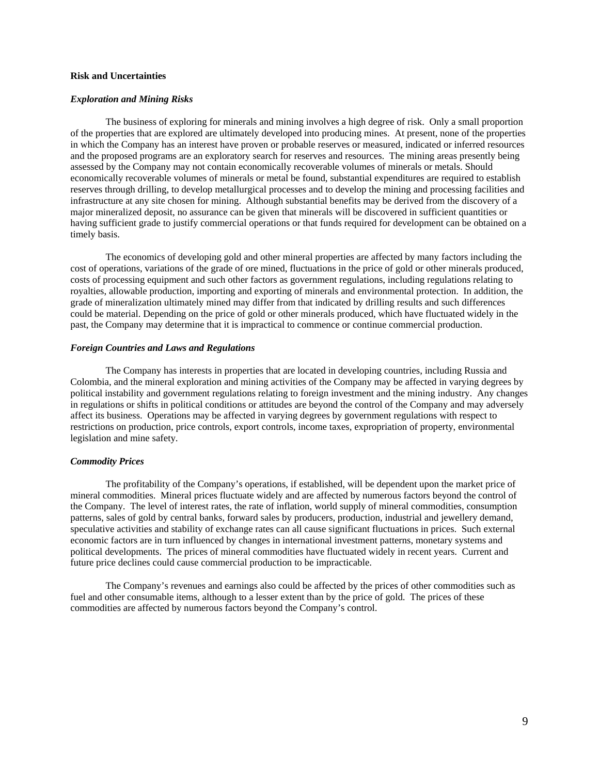## **Risk and Uncertainties**

#### *Exploration and Mining Risks*

The business of exploring for minerals and mining involves a high degree of risk. Only a small proportion of the properties that are explored are ultimately developed into producing mines. At present, none of the properties in which the Company has an interest have proven or probable reserves or measured, indicated or inferred resources and the proposed programs are an exploratory search for reserves and resources. The mining areas presently being assessed by the Company may not contain economically recoverable volumes of minerals or metals. Should economically recoverable volumes of minerals or metal be found, substantial expenditures are required to establish reserves through drilling, to develop metallurgical processes and to develop the mining and processing facilities and infrastructure at any site chosen for mining. Although substantial benefits may be derived from the discovery of a major mineralized deposit, no assurance can be given that minerals will be discovered in sufficient quantities or having sufficient grade to justify commercial operations or that funds required for development can be obtained on a timely basis.

The economics of developing gold and other mineral properties are affected by many factors including the cost of operations, variations of the grade of ore mined, fluctuations in the price of gold or other minerals produced, costs of processing equipment and such other factors as government regulations, including regulations relating to royalties, allowable production, importing and exporting of minerals and environmental protection. In addition, the grade of mineralization ultimately mined may differ from that indicated by drilling results and such differences could be material. Depending on the price of gold or other minerals produced, which have fluctuated widely in the past, the Company may determine that it is impractical to commence or continue commercial production.

#### *Foreign Countries and Laws and Regulations*

The Company has interests in properties that are located in developing countries, including Russia and Colombia, and the mineral exploration and mining activities of the Company may be affected in varying degrees by political instability and government regulations relating to foreign investment and the mining industry. Any changes in regulations or shifts in political conditions or attitudes are beyond the control of the Company and may adversely affect its business. Operations may be affected in varying degrees by government regulations with respect to restrictions on production, price controls, export controls, income taxes, expropriation of property, environmental legislation and mine safety.

### *Commodity Prices*

The profitability of the Company's operations, if established, will be dependent upon the market price of mineral commodities. Mineral prices fluctuate widely and are affected by numerous factors beyond the control of the Company. The level of interest rates, the rate of inflation, world supply of mineral commodities, consumption patterns, sales of gold by central banks, forward sales by producers, production, industrial and jewellery demand, speculative activities and stability of exchange rates can all cause significant fluctuations in prices. Such external economic factors are in turn influenced by changes in international investment patterns, monetary systems and political developments. The prices of mineral commodities have fluctuated widely in recent years. Current and future price declines could cause commercial production to be impracticable.

The Company's revenues and earnings also could be affected by the prices of other commodities such as fuel and other consumable items, although to a lesser extent than by the price of gold. The prices of these commodities are affected by numerous factors beyond the Company's control.